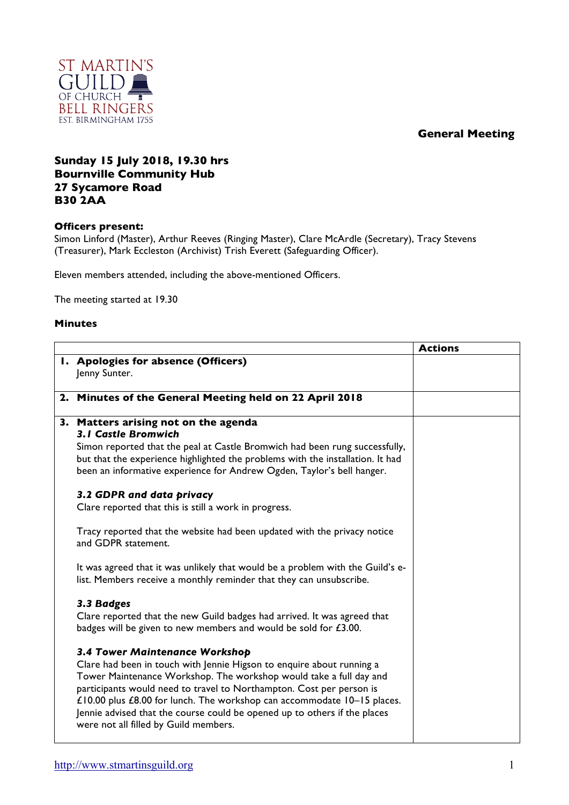## **General Meeting**



## **Sunday 15 July 2018, 19.30 hrs Bournville Community Hub 27 Sycamore Road B30 2AA**

## **Officers present:**

Simon Linford (Master), Arthur Reeves (Ringing Master), Clare McArdle (Secretary), Tracy Stevens (Treasurer), Mark Eccleston (Archivist) Trish Everett (Safeguarding Officer).

Eleven members attended, including the above-mentioned Officers.

The meeting started at 19.30

## **Minutes**

|                                                                                                                                                               | <b>Actions</b> |
|---------------------------------------------------------------------------------------------------------------------------------------------------------------|----------------|
| I. Apologies for absence (Officers)                                                                                                                           |                |
| Jenny Sunter.                                                                                                                                                 |                |
|                                                                                                                                                               |                |
| 2. Minutes of the General Meeting held on 22 April 2018                                                                                                       |                |
|                                                                                                                                                               |                |
| 3. Matters arising not on the agenda<br><b>3.1 Castle Bromwich</b>                                                                                            |                |
|                                                                                                                                                               |                |
| Simon reported that the peal at Castle Bromwich had been rung successfully,<br>but that the experience highlighted the problems with the installation. It had |                |
| been an informative experience for Andrew Ogden, Taylor's bell hanger.                                                                                        |                |
|                                                                                                                                                               |                |
| 3.2 GDPR and data privacy                                                                                                                                     |                |
| Clare reported that this is still a work in progress.                                                                                                         |                |
|                                                                                                                                                               |                |
| Tracy reported that the website had been updated with the privacy notice                                                                                      |                |
| and GDPR statement.                                                                                                                                           |                |
|                                                                                                                                                               |                |
| It was agreed that it was unlikely that would be a problem with the Guild's e-                                                                                |                |
| list. Members receive a monthly reminder that they can unsubscribe.                                                                                           |                |
| 3.3 Badges                                                                                                                                                    |                |
| Clare reported that the new Guild badges had arrived. It was agreed that                                                                                      |                |
| badges will be given to new members and would be sold for £3.00.                                                                                              |                |
|                                                                                                                                                               |                |
| 3.4 Tower Maintenance Workshop                                                                                                                                |                |
| Clare had been in touch with Jennie Higson to enquire about running a                                                                                         |                |
| Tower Maintenance Workshop. The workshop would take a full day and                                                                                            |                |
| participants would need to travel to Northampton. Cost per person is                                                                                          |                |
| £10.00 plus £8.00 for lunch. The workshop can accommodate 10-15 places.                                                                                       |                |
| Jennie advised that the course could be opened up to others if the places                                                                                     |                |
| were not all filled by Guild members.                                                                                                                         |                |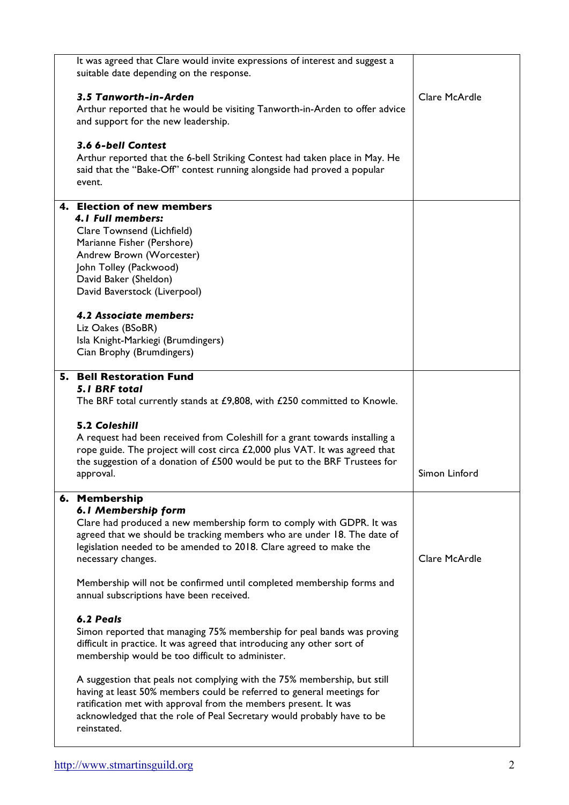| It was agreed that Clare would invite expressions of interest and suggest a<br>suitable date depending on the response.                                                                                                                                                                                                                                                                                                                                                                                                |               |
|------------------------------------------------------------------------------------------------------------------------------------------------------------------------------------------------------------------------------------------------------------------------------------------------------------------------------------------------------------------------------------------------------------------------------------------------------------------------------------------------------------------------|---------------|
| 3.5 Tanworth-in-Arden<br>Arthur reported that he would be visiting Tanworth-in-Arden to offer advice<br>and support for the new leadership.                                                                                                                                                                                                                                                                                                                                                                            | Clare McArdle |
| 3.6 6-bell Contest<br>Arthur reported that the 6-bell Striking Contest had taken place in May. He<br>said that the "Bake-Off" contest running alongside had proved a popular<br>event.                                                                                                                                                                                                                                                                                                                                 |               |
| 4. Election of new members<br>4.1 Full members:<br>Clare Townsend (Lichfield)<br>Marianne Fisher (Pershore)<br>Andrew Brown (Worcester)<br>John Tolley (Packwood)<br>David Baker (Sheldon)<br>David Baverstock (Liverpool)<br>4.2 Associate members:<br>Liz Oakes (BSoBR)<br>Isla Knight-Markiegi (Brumdingers)                                                                                                                                                                                                        |               |
| Cian Brophy (Brumdingers)                                                                                                                                                                                                                                                                                                                                                                                                                                                                                              |               |
| 5. Bell Restoration Fund<br>5.1 BRF total<br>The BRF total currently stands at £9,808, with £250 committed to Knowle.<br><b>5.2 Coleshill</b><br>A request had been received from Coleshill for a grant towards installing a<br>rope guide. The project will cost circa £2,000 plus VAT. It was agreed that<br>the suggestion of a donation of $£500$ would be put to the BRF Trustees for<br>approval.                                                                                                                | Simon Linford |
| 6. Membership<br>6.1 Membership form<br>Clare had produced a new membership form to comply with GDPR. It was<br>agreed that we should be tracking members who are under 18. The date of<br>legislation needed to be amended to 2018. Clare agreed to make the<br>necessary changes.<br>Membership will not be confirmed until completed membership forms and<br>annual subscriptions have been received.<br>6.2 Peals                                                                                                  | Clare McArdle |
| Simon reported that managing 75% membership for peal bands was proving<br>difficult in practice. It was agreed that introducing any other sort of<br>membership would be too difficult to administer.<br>A suggestion that peals not complying with the 75% membership, but still<br>having at least 50% members could be referred to general meetings for<br>ratification met with approval from the members present. It was<br>acknowledged that the role of Peal Secretary would probably have to be<br>reinstated. |               |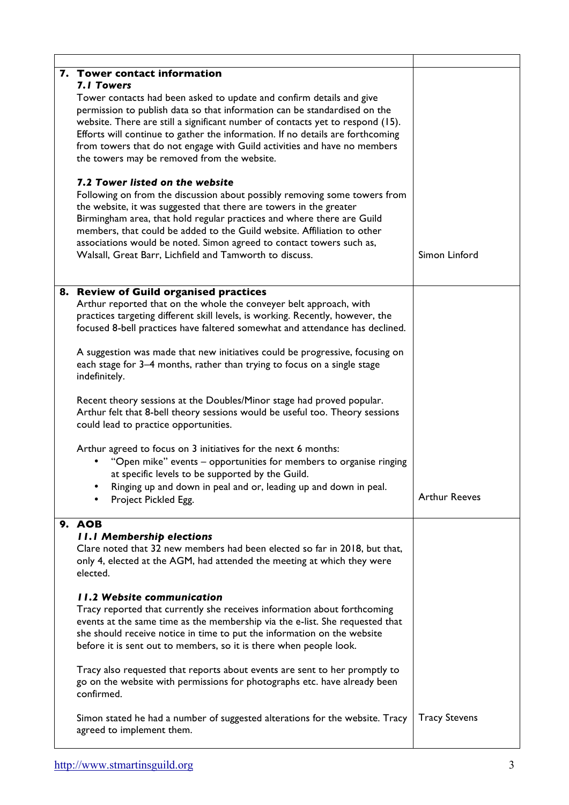| 7. Tower contact information<br><b>7.1 Towers</b><br>Tower contacts had been asked to update and confirm details and give<br>permission to publish data so that information can be standardised on the<br>website. There are still a significant number of contacts yet to respond (15).<br>Efforts will continue to gather the information. If no details are forthcoming<br>from towers that do not engage with Guild activities and have no members<br>the towers may be removed from the website.<br>7.2 Tower listed on the website |
|------------------------------------------------------------------------------------------------------------------------------------------------------------------------------------------------------------------------------------------------------------------------------------------------------------------------------------------------------------------------------------------------------------------------------------------------------------------------------------------------------------------------------------------|
|                                                                                                                                                                                                                                                                                                                                                                                                                                                                                                                                          |
|                                                                                                                                                                                                                                                                                                                                                                                                                                                                                                                                          |
| Following on from the discussion about possibly removing some towers from<br>the website, it was suggested that there are towers in the greater<br>Birmingham area, that hold regular practices and where there are Guild<br>members, that could be added to the Guild website. Affiliation to other<br>associations would be noted. Simon agreed to contact towers such as,<br>Simon Linford<br>Walsall, Great Barr, Lichfield and Tamworth to discuss.                                                                                 |
| 8. Review of Guild organised practices<br>Arthur reported that on the whole the conveyer belt approach, with<br>practices targeting different skill levels, is working. Recently, however, the<br>focused 8-bell practices have faltered somewhat and attendance has declined.                                                                                                                                                                                                                                                           |
| A suggestion was made that new initiatives could be progressive, focusing on<br>each stage for 3-4 months, rather than trying to focus on a single stage<br>indefinitely.                                                                                                                                                                                                                                                                                                                                                                |
| Recent theory sessions at the Doubles/Minor stage had proved popular.<br>Arthur felt that 8-bell theory sessions would be useful too. Theory sessions<br>could lead to practice opportunities.                                                                                                                                                                                                                                                                                                                                           |
| Arthur agreed to focus on 3 initiatives for the next 6 months:<br>"Open mike" events - opportunities for members to organise ringing<br>at specific levels to be supported by the Guild.                                                                                                                                                                                                                                                                                                                                                 |
| Ringing up and down in peal and or, leading up and down in peal.<br><b>Arthur Reeves</b><br>Project Pickled Egg.                                                                                                                                                                                                                                                                                                                                                                                                                         |
| 9. AOB<br><b>II.I Membership elections</b><br>Clare noted that 32 new members had been elected so far in 2018, but that,<br>only 4, elected at the AGM, had attended the meeting at which they were<br>elected.                                                                                                                                                                                                                                                                                                                          |
| <b>11.2 Website communication</b><br>Tracy reported that currently she receives information about forthcoming<br>events at the same time as the membership via the e-list. She requested that<br>she should receive notice in time to put the information on the website<br>before it is sent out to members, so it is there when people look.                                                                                                                                                                                           |
| Tracy also requested that reports about events are sent to her promptly to<br>go on the website with permissions for photographs etc. have already been<br>confirmed.                                                                                                                                                                                                                                                                                                                                                                    |
| <b>Tracy Stevens</b><br>Simon stated he had a number of suggested alterations for the website. Tracy<br>agreed to implement them.                                                                                                                                                                                                                                                                                                                                                                                                        |